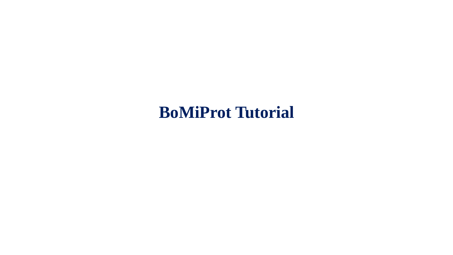# **BoMiProt Tutorial**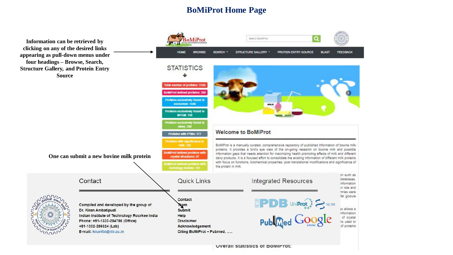### **BoMiProt Home Page**

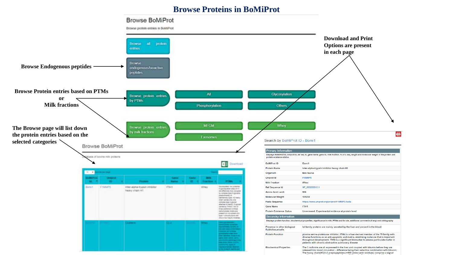#### **Browse Proteins in BoMiProt**

#### **Browse BoMiProt**

Browse protein entries in BoMiProt

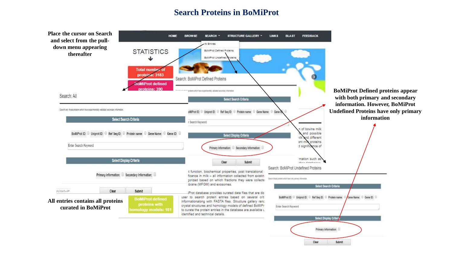#### **Search Proteins in BoMiProt**

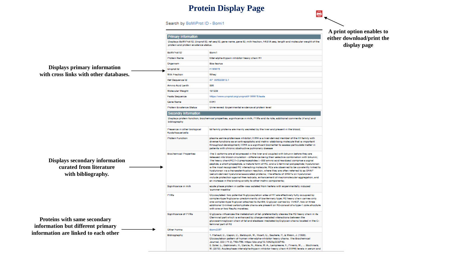# **Protein Display Page**

 $\bullet$ 

Search by BoMiProt ID - Bomi1

|                                                                                        |                                                     |                                                                                                                                                                                                                                                                                                                                                                                                                                                                                                                                                                                                                                                                                                                                                                                                                       | A print option enables to |  |
|----------------------------------------------------------------------------------------|-----------------------------------------------------|-----------------------------------------------------------------------------------------------------------------------------------------------------------------------------------------------------------------------------------------------------------------------------------------------------------------------------------------------------------------------------------------------------------------------------------------------------------------------------------------------------------------------------------------------------------------------------------------------------------------------------------------------------------------------------------------------------------------------------------------------------------------------------------------------------------------------|---------------------------|--|
|                                                                                        | <b>Primary Information</b>                          |                                                                                                                                                                                                                                                                                                                                                                                                                                                                                                                                                                                                                                                                                                                                                                                                                       | either download/print the |  |
|                                                                                        |                                                     | Daplays BoWilfrot ID, Uniprot ID, ref seq ID, gene name, gene ID, milk traction, FASTA seq, length and molecular weight of the<br>protein and protein existence status.                                                                                                                                                                                                                                                                                                                                                                                                                                                                                                                                                                                                                                               |                           |  |
|                                                                                        | BoMilfrot ID                                        | <b>Bomi</b> l                                                                                                                                                                                                                                                                                                                                                                                                                                                                                                                                                                                                                                                                                                                                                                                                         |                           |  |
|                                                                                        | <b>Protein Name</b>                                 | Inter-sipha-trypain inhibitor heavy chain HT                                                                                                                                                                                                                                                                                                                                                                                                                                                                                                                                                                                                                                                                                                                                                                          |                           |  |
|                                                                                        | Organism                                            | <b>Box trungs</b>                                                                                                                                                                                                                                                                                                                                                                                                                                                                                                                                                                                                                                                                                                                                                                                                     |                           |  |
| Displays primary information                                                           | Uniprot Id                                          | FIMMI'S                                                                                                                                                                                                                                                                                                                                                                                                                                                                                                                                                                                                                                                                                                                                                                                                               |                           |  |
| with cross links with other databases.                                                 | Milk Fraction                                       | Whey                                                                                                                                                                                                                                                                                                                                                                                                                                                                                                                                                                                                                                                                                                                                                                                                                  |                           |  |
|                                                                                        | <b>Het Sequence Id</b>                              | XP 005222812.1                                                                                                                                                                                                                                                                                                                                                                                                                                                                                                                                                                                                                                                                                                                                                                                                        |                           |  |
|                                                                                        | <b>Amino Acid Lenth</b>                             | 906                                                                                                                                                                                                                                                                                                                                                                                                                                                                                                                                                                                                                                                                                                                                                                                                                   |                           |  |
|                                                                                        | <b>Molecular Weight</b>                             | 101238                                                                                                                                                                                                                                                                                                                                                                                                                                                                                                                                                                                                                                                                                                                                                                                                                |                           |  |
|                                                                                        | <b>Fasta Sequence</b>                               | https://www.uniprot.org/uniprot/~1MMI*5.faata                                                                                                                                                                                                                                                                                                                                                                                                                                                                                                                                                                                                                                                                                                                                                                         |                           |  |
|                                                                                        | Cene Name                                           | <b>HIM1</b>                                                                                                                                                                                                                                                                                                                                                                                                                                                                                                                                                                                                                                                                                                                                                                                                           |                           |  |
|                                                                                        | <b>Protein Existence Status</b>                     | Unreviewed: Experimental evidence at protein level                                                                                                                                                                                                                                                                                                                                                                                                                                                                                                                                                                                                                                                                                                                                                                    |                           |  |
|                                                                                        | <b>Secondry Information</b>                         |                                                                                                                                                                                                                                                                                                                                                                                                                                                                                                                                                                                                                                                                                                                                                                                                                       |                           |  |
|                                                                                        | bibliography                                        | Daplays protein function, biochemical properties, significance in milk, PTMs and its role, additional comments (if any) and                                                                                                                                                                                                                                                                                                                                                                                                                                                                                                                                                                                                                                                                                           |                           |  |
|                                                                                        | Presence in other biological<br>fluida/travus/cells | lal family proteins are mainly secreted by the liver and present in the blood;                                                                                                                                                                                                                                                                                                                                                                                                                                                                                                                                                                                                                                                                                                                                        |                           |  |
|                                                                                        | Protein Function                                    | please series-proteinase inhibitor; IIIIN4 is a liver-derived member of the IIII family with<br>diverse functions as an anti-apoptotic and matrix-stabilizing molecule that is important.<br>throughout development; ITIH4 is a significant biomarker to assess particulate matter in<br>patients with chronic obstructive pulmonary disease                                                                                                                                                                                                                                                                                                                                                                                                                                                                          |                           |  |
| <b>Displays secondary information</b><br>curated from literature<br>with bibliography. | <b>Biochemical Properties</b>                       | The 3 reptorms are all expressed in the liver and coupled with bikunin before they are<br>released into blood circulation - difference being their selective combination with bikunin;<br>The heavy chain(HC)1-3 prepropaphdes (-980 smino scid residues) comprise a signal<br>peptide, a short propeptide, a mature form of HC, and a C-terminal polypeptide; hyaluronan<br>is the most recognized HC interacting molecule; HCs are observed to be covalently linked to<br>hyaluronan via a transaster/heation reaction, where they are often referred to as SHAP<br>(serum-derived hysiuronanassociated proteins; The effects of SHAI's on hysiuronan<br>include protection against tree radicals, enhancement of macromolecular aggregation, and<br>an increase in the binding avidity to other matrix components; |                           |  |
|                                                                                        | Significance in milk                                | scute phase protein in cattle- was isolated from herers with experimentally induced<br>'aummer mastita'                                                                                                                                                                                                                                                                                                                                                                                                                                                                                                                                                                                                                                                                                                               |                           |  |
|                                                                                        | PIMa                                                | Ciyoosyisted: two potential N-glycosyistion sites of H1 are effectively fully occupied by<br>complex-type N-glycana- predominantly of biantennary type; H2 heavy chain carries only<br>one complex-type N-plycan attached to Aan64; O-plycan carried by Thr637, two or three<br>additional O-linked carbohydrate chains are present on H2-consist of a type-1 core structure<br>with one or two NeuAc moretres:                                                                                                                                                                                                                                                                                                                                                                                                       |                           |  |
| Proteins with same secondary                                                           | Significance of PTMs                                | O glycans influences the metabolism of fal- preferentially cleaves the H2 heavy chain in its<br>Cherminal part which is enhanced by charge-mediated interactions between the<br>glycosaminoglycan chain of lal and elastase- mediated byO-glycan chains located in the C-                                                                                                                                                                                                                                                                                                                                                                                                                                                                                                                                             |                           |  |
| information but different primary                                                      | Other Forms                                         | terminal part of H2<br><b>Bom(2357</b>                                                                                                                                                                                                                                                                                                                                                                                                                                                                                                                                                                                                                                                                                                                                                                                |                           |  |
| information are linked to each other                                                   | <b>Bibliography</b>                                 | 1. Flahaut, C., Capon, C., Balduyck, M., Ricart, C., Sautana, P., & Micon, J. (1998).<br>Ciyooxylation pattern of human inter-alpha-inhibitor heavy chains. The Biochemical<br>Journal, 333 (19:3), 749-758. https://doi.org/10.1042fbj3338749.<br>2. Soler, L., Debrowski, R., Garcia, N., Alava, M. A., Lampreave, F., Pineiro, M.,  Bochnarz,<br>M. (2019). Acute-phase inter-sipha-trypain inhibitor heavy chain 4 (IIIH4) levels in serum and                                                                                                                                                                                                                                                                                                                                                                    |                           |  |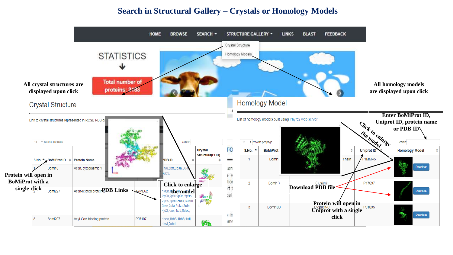#### **Search in Structural Gallery – Crystals or Homology Models**

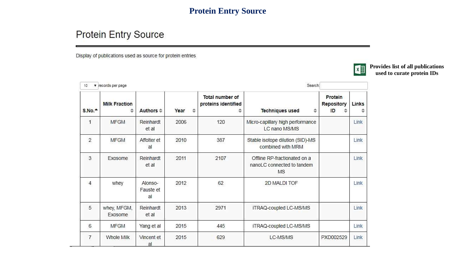# **Protein Entry Source**

# **Protein Entry Source**

Display of publications used as source for protein entries



**Provides list of all publications used to curate protein IDs**

| 10             | v records per page            |                             |                       | Search:                                |                                                                  |                                  |       |
|----------------|-------------------------------|-----------------------------|-----------------------|----------------------------------------|------------------------------------------------------------------|----------------------------------|-------|
| S.No.          | <b>Milk Fraction</b>          | Authors $\Leftrightarrow$   | Year<br>$\Rightarrow$ | Total number of<br>proteins identified | Techniques used<br>≑                                             | Protein<br>Repository<br>ID<br>≎ | Links |
| 1              | <b>MFGM</b>                   | Reinhardt<br>et al          | 2006                  | 120                                    | Micro-capillary high performance<br>LC nano MS/MS                |                                  | Link  |
| $\overline{2}$ | <b>MFGM</b>                   | Affolter et<br>al           | 2010                  | 387                                    | Stable isotope dilution (SID)-MS<br>combined with MRM            |                                  | Link  |
| 3              | <b>Exosome</b>                | Reinhardt<br>et al          | 2011                  | 2107                                   | Offline RP-fractionated on a<br>nanoLC connected to tandem<br>MS |                                  | Link  |
| $\overline{4}$ | whey                          | Alonso-<br>Fauste et<br>al  | 2012                  | 62                                     | 2D MALDI TOF                                                     |                                  | Link  |
| 5              | whey, MFGM,<br><b>Exosome</b> | Reinhardt<br>et al          | 2013                  | 2971                                   | iTRAQ-coupled LC-MS/MS                                           |                                  | Link  |
| 6              | <b>MFGM</b>                   | Yang et al                  | 2015                  | 445                                    | iTRAQ-coupled LC-MS/MS                                           |                                  | Link  |
| 7              | Whole Milk                    | Vincent et<br>$\mathsf{al}$ | 2015                  | 629                                    | LC-MS/MS                                                         | PXD002529                        | Link  |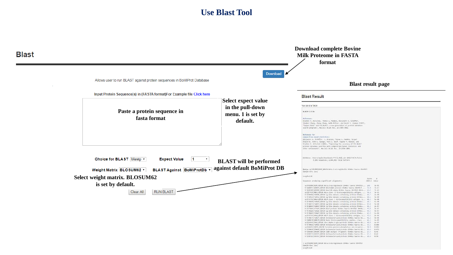# **Use Blast Tool**

| <b>Blast</b> |                                                                                                                                                                                                                  |                                                                                 | <b>Download complete Bovine</b><br><b>Milk Proteome in FASTA</b><br>format                                                                                                                                                                                                                                                                                                                                                                                                                                                                                                                                                                                                                                                                                                                                                                                                                                                                                                                                                                                                                                                                                                                                                                                                                                                                                                                                                                                                                                                                                                                                                                                                                                                                                                                                                                                                                                                                                                                                                                                                                                                                                                                                                                                                                                                                                                                                                                                                                                                                                                                                                                                        |
|--------------|------------------------------------------------------------------------------------------------------------------------------------------------------------------------------------------------------------------|---------------------------------------------------------------------------------|-------------------------------------------------------------------------------------------------------------------------------------------------------------------------------------------------------------------------------------------------------------------------------------------------------------------------------------------------------------------------------------------------------------------------------------------------------------------------------------------------------------------------------------------------------------------------------------------------------------------------------------------------------------------------------------------------------------------------------------------------------------------------------------------------------------------------------------------------------------------------------------------------------------------------------------------------------------------------------------------------------------------------------------------------------------------------------------------------------------------------------------------------------------------------------------------------------------------------------------------------------------------------------------------------------------------------------------------------------------------------------------------------------------------------------------------------------------------------------------------------------------------------------------------------------------------------------------------------------------------------------------------------------------------------------------------------------------------------------------------------------------------------------------------------------------------------------------------------------------------------------------------------------------------------------------------------------------------------------------------------------------------------------------------------------------------------------------------------------------------------------------------------------------------------------------------------------------------------------------------------------------------------------------------------------------------------------------------------------------------------------------------------------------------------------------------------------------------------------------------------------------------------------------------------------------------------------------------------------------------------------------------------------------------|
|              | Allows user to run BLAST against protein sequences in BoMiProt Database<br>Input Protein Sequence(s) in (FASTA format)For Example file Click here                                                                | <b>Blast result page</b>                                                        |                                                                                                                                                                                                                                                                                                                                                                                                                                                                                                                                                                                                                                                                                                                                                                                                                                                                                                                                                                                                                                                                                                                                                                                                                                                                                                                                                                                                                                                                                                                                                                                                                                                                                                                                                                                                                                                                                                                                                                                                                                                                                                                                                                                                                                                                                                                                                                                                                                                                                                                                                                                                                                                                   |
|              | Paste a protein sequence in<br>fasta format                                                                                                                                                                      | <b>Select expect value</b><br>in the pull-down<br>menu. 1 is set by<br>default. | <b>Blast Result</b><br>Your job id is 75434<br><b>BLASTP 2.3.0+</b><br><b>Reference:</b><br>Stephen F. Altschul, Thomas L. Madden, Alejandro A. Schäffer,<br>linghui Zhang, Zhang Zhang, Webb Miller, and David 1, Lipman (1997),<br>"Gapped BLAST and PSI-BLAST: a new generation of protein database<br>search programs", Nucleic Acids Ros. 25:3389-3482.<br><b>Reference For</b>                                                                                                                                                                                                                                                                                                                                                                                                                                                                                                                                                                                                                                                                                                                                                                                                                                                                                                                                                                                                                                                                                                                                                                                                                                                                                                                                                                                                                                                                                                                                                                                                                                                                                                                                                                                                                                                                                                                                                                                                                                                                                                                                                                                                                                                                              |
|              | Choice for BLAST blastp v<br><b>Expect Value</b><br>$\vert$ 1<br>Weight Matrix BLOSUM62 v<br>BLAST Against BoMiProtDb v<br>Select weight matrix. BLOSUM62<br>is set by default.<br><b>RUN BLAST</b><br>Clear All | U.<br><b>BLAST</b> will be performed<br>against default BoMiProt DB             | composition-based statistics:<br>Alejandro A. Schäffer, L. Aravind, Thosas L. Maddon, Sergel<br>Shavirin, John L. Spouge, Vari L. Wolf, Eugene V. Konnin, and<br>Stephen F. Altschul (2001), "Improving the accuracy of PSI-BLAST<br>protein database searches with composition-based statistics and<br>ather rofinements", Macleic Acids Res. 20:2934-3885.<br>Database: /Users/apple/Downloads/YYY/2 AD11_sir-2019/FASTA_Fasta<br>3,181 Webences; 2,644,865 tutal letters<br>Query+ sp PO1888 B2MG BOVIN Bata-2-edcroglobulin OS+Bas taurus OX+9913<br>GN-82M PE-1 SV-2<br>Lingth=118<br>Score : E<br>Sequences producing significant alignments:<br>(Bits) Value<br>sp[PR1B88(B2MG BOVIN Beta-2-nicroglobulin OS=Bos taurus OX=993 246 3c-BS<br>tr ABHSY1 ABHSY1 BOVIN BOLA DOA1 protein DS-Box taurus 00x9913  72.0 7e-17<br>tr 030309 (20309 BOVIN BoLA-DR-alpha 05+8m taurus 00+0013 ON+8 63.9 26-14<br>sp Q9TVCB(HBZ1_BOVIN_Buta class II_Mistocompatibility_antigon,  56.6 3e-11<br>tr FBNF06 FBNF06 BOVIN Ig-like domain-containing protein OS=Bos 40.7<br>$-36 - 88$<br>tr F1MPLS F1MPL5 BOVZW Ig-11ko damain-containing protein 05+Bos 48.1 la-88<br>up P13752 HA1A BOVIN BOLA class I histocompatibility antigen, a 48.1 50-88<br>tr[FD408]FD408_BOVDN Ig-11ko demain-containing profein OS+Bos 48.1<br>$-50 - 08$<br>tr Fin4v5 Fin4v5 80/2N (g-11kn domain-containing protein OS=Bos 47.8 5m-88<br>tr E18063(E18063 BOVIN Ig-11ko duwaln-containing protoin OS=Bos 46.2 2e-87<br>tr A7New A7Wew BOVIN BoLA protein OS-Bos taurus OX-9913 GR-Bo 45.8<br>$36 - 07$<br>tr FDN205 FDN205 BOVIN Is like densin-containing protein 05-Bos 44.3 9=87<br>tr F1M03 F1M03 HOVIN Ig Like desain-containing protein 05-Box 43.9 1e-86<br>sp[P13753[MA18_BOVIN BOLA class I histocompatibility antigon, a.s. 43.1<br>$24 - 36$<br>tr FD4075 F1M075 BOV2N Uncharacterized protein 05-Box taurus 0X 41.2 06-B6<br>tr [Q88078]Q88078 80/2N Major Nistocompatibility complex, class  41.2 1= 85<br>40 0320 6 2426 BOVIN Zinc alpha 2 glycoprotein OS-Bos taurus OK., 48.8<br>$1 + 46$<br>tr F1MKS F1MKS BD/IN Uncharacterized protein 05+Bss taurus 0X 33.1 8.085<br>ap]046631 SHRSI BOVIN Tyrosina-protein phosphatase non-receptor 38.8 0.032<br>triG3WN#(G3WN# BOVIN Uncharacterized protein OS+Bos taurus OK 29.6 8.872<br>tripeses oceas 80/2N CDBB anitum (Fragment) OS-Box taurus OK IT.1 B.45<br>tr GSESTS GSESTS BOVZN Uncharacterized protein OS-Bus taurus OK 27.3 0.62<br>tr]GSES13(GSES1) BD/2N Uncharacterized protein OS-Bos taurus OK 25.8 0.90<br>> up P01888 82ML BOVIN Bota-2-microglobulin OS+Bos taurus ON+9913<br>GN=82M PE=1 SV=2<br>imgth=118 |